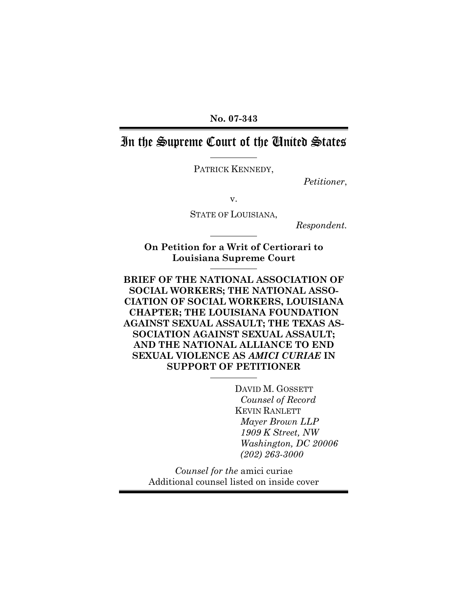**No. 07-343**

# In the Supreme Court of the United States

PATRICK KENNEDY,

*Petitioner*,

v.

STATE OF LOUISIANA,

*Respondent.*

**On Petition for a Writ of Certiorari to Louisiana Supreme Court**

**BRIEF OF THE NATIONAL ASSOCIATION OF SOCIAL WORKERS; THE NATIONAL ASSO-CIATION OF SOCIAL WORKERS, LOUISIANA CHAPTER; THE LOUISIANA FOUNDATION AGAINST SEXUAL ASSAULT; THE TEXAS AS-SOCIATION AGAINST SEXUAL ASSAULT; AND THE NATIONAL ALLIANCE TO END SEXUAL VIOLENCE AS** *AMICI CURIAE* **IN SUPPORT OF PETITIONER**

> DAVID M. GOSSETT *Counsel of Record* KEVIN RANLETT *Mayer Brown LLP 1909 K Street, NW Washington, DC 20006 (202) 263-3000*

*Counsel for the* amici curiae Additional counsel listed on inside cover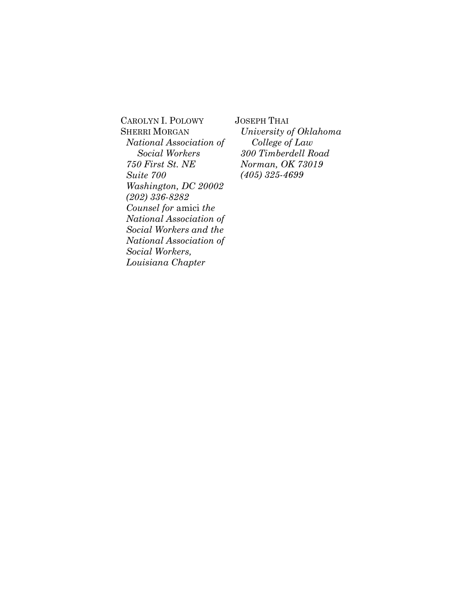CAROLYN I. POLOWY SHERRI MORGAN *National Association of Social Workers 750 First St. NE Suite 700 Washington, DC 20002 (202) 336-8282 Counsel for* amici *the National Association of Social Workers and the National Association of Social Workers, Louisiana Chapter*

JOSEPH THAI *University of Oklahoma College of Law 300 Timberdell Road Norman, OK 73019 (405) 325-4699*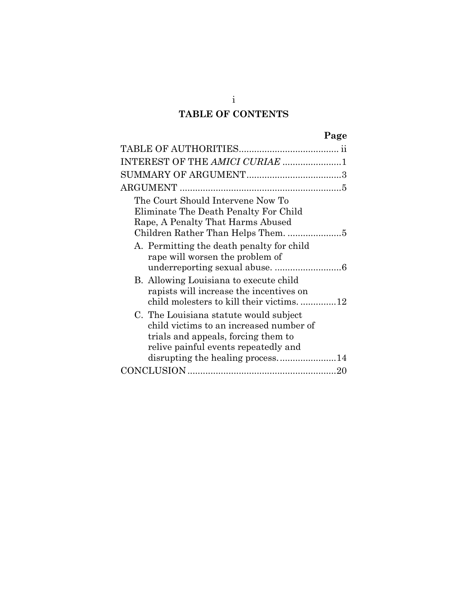# **TABLE OF CONTENTS**

| ٠ |
|---|
|---|

| INTEREST OF THE AMICI CURIAE 1                                                                                                                                                                       |
|------------------------------------------------------------------------------------------------------------------------------------------------------------------------------------------------------|
|                                                                                                                                                                                                      |
|                                                                                                                                                                                                      |
| The Court Should Intervene Now To<br>Eliminate The Death Penalty For Child<br>Rape, A Penalty That Harms Abused<br>Children Rather Than Helps Them. 5                                                |
| A. Permitting the death penalty for child<br>rape will worsen the problem of                                                                                                                         |
| B. Allowing Louisiana to execute child<br>rapists will increase the incentives on<br>child molesters to kill their victims. 12                                                                       |
| C. The Louisiana statute would subject<br>child victims to an increased number of<br>trials and appeals, forcing them to<br>relive painful events repeatedly and<br>disrupting the healing process14 |
| -20                                                                                                                                                                                                  |

i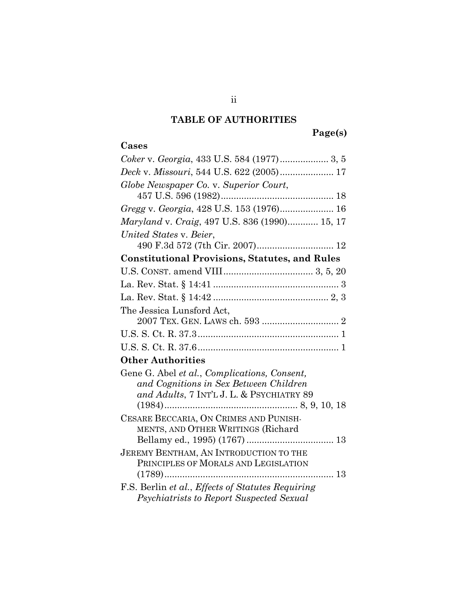## **TABLE OF AUTHORITIES**

# **Page(s)**

## **Cases**

| Deck v. Missouri, 544 U.S. 622 (2005) 17              |
|-------------------------------------------------------|
| Globe Newspaper Co. v. Superior Court,                |
|                                                       |
| Gregg v. Georgia, 428 U.S. 153 (1976) 16              |
| Maryland v. Craig, 497 U.S. 836 (1990) 15, 17         |
| United States v. Beier,                               |
|                                                       |
| <b>Constitutional Provisions, Statutes, and Rules</b> |
|                                                       |
|                                                       |
|                                                       |
| The Jessica Lunsford Act,                             |
|                                                       |
|                                                       |
| <b>Other Authorities</b>                              |
| Gene G. Abel et al., Complications, Consent,          |
| and Cognitions in Sex Between Children                |
| and Adults, 7 INT'L J. L. & PSYCHIATRY 89             |
|                                                       |
| CESARE BECCARIA, ON CRIMES AND PUNISH-                |
| MENTS, AND OTHER WRITINGS (Richard                    |
| JEREMY BENTHAM, AN INTRODUCTION TO THE                |
| PRINCIPLES OF MORALS AND LEGISLATION                  |
| 13<br>$(1789)$                                        |
| F.S. Berlin et al., Effects of Statutes Requiring     |
| Psychiatrists to Report Suspected Sexual              |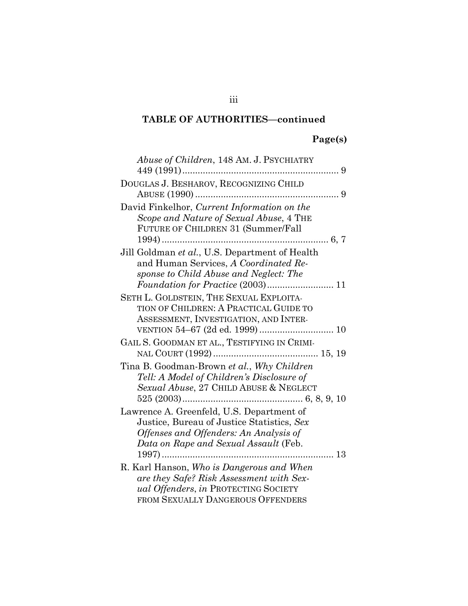# **Page(s)**

| Abuse of Children, 148 AM. J. PSYCHIATRY                                                                                                                                   |
|----------------------------------------------------------------------------------------------------------------------------------------------------------------------------|
| DOUGLAS J. BESHAROV, RECOGNIZING CHILD                                                                                                                                     |
| David Finkelhor, Current Information on the<br>Scope and Nature of Sexual Abuse, 4 THE<br>FUTURE OF CHILDREN 31 (Summer/Fall                                               |
| Jill Goldman et al., U.S. Department of Health<br>and Human Services, A Coordinated Re-<br>sponse to Child Abuse and Neglect: The                                          |
| SETH L. GOLDSTEIN, THE SEXUAL EXPLOITA-<br>TION OF CHILDREN: A PRACTICAL GUIDE TO<br>ASSESSMENT, INVESTIGATION, AND INTER-                                                 |
| GAIL S. GOODMAN ET AL., TESTIFYING IN CRIMI-                                                                                                                               |
| Tina B. Goodman-Brown et al., Why Children<br>Tell: A Model of Children's Disclosure of<br>Sexual Abuse, 27 CHILD ABUSE & NEGLECT                                          |
| Lawrence A. Greenfeld, U.S. Department of<br>Justice, Bureau of Justice Statistics, Sex<br>Offenses and Offenders: An Analysis of<br>Data on Rape and Sexual Assault (Feb. |
| R. Karl Hanson, Who is Dangerous and When<br>are they Safe? Risk Assessment with Sex-<br>ual Offenders, in PROTECTING SOCIETY<br>FROM SEXUALLY DANGEROUS OFFENDERS         |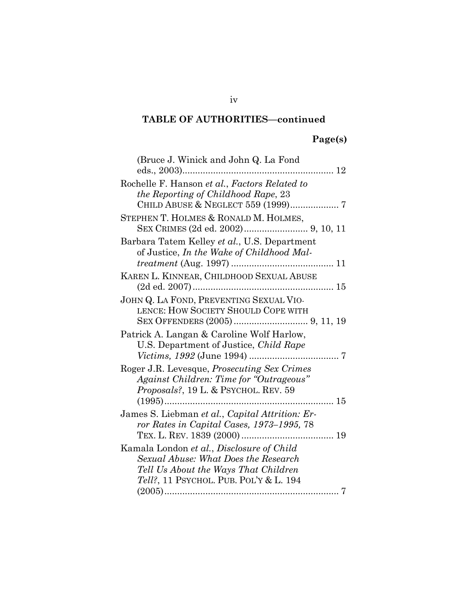# **Page(s)**

| (Bruce J. Winick and John Q. La Fond               |
|----------------------------------------------------|
|                                                    |
| Rochelle F. Hanson et al., Factors Related to      |
| the Reporting of Childhood Rape, 23                |
|                                                    |
| STEPHEN T. HOLMES & RONALD M. HOLMES,              |
| Barbara Tatem Kelley et al., U.S. Department       |
| of Justice, In the Wake of Childhood Mal-          |
|                                                    |
| KAREN L. KINNEAR, CHILDHOOD SEXUAL ABUSE           |
|                                                    |
| JOHN Q. LA FOND, PREVENTING SEXUAL VIO-            |
| LENCE: HOW SOCIETY SHOULD COPE WITH                |
|                                                    |
| Patrick A. Langan & Caroline Wolf Harlow,          |
| U.S. Department of Justice, Child Rape             |
|                                                    |
| Roger J.R. Levesque, <i>Prosecuting Sex Crimes</i> |
| Against Children: Time for "Outrageous"            |
| <i>Proposals?,</i> 19 L. & PSYCHOL. REV. 59        |
| . 15                                               |
| James S. Liebman et al., Capital Attrition: Er-    |
| ror Rates in Capital Cases, 1973–1995, 78          |
|                                                    |
| Kamala London et al., Disclosure of Child          |
| Sexual Abuse: What Does the Research               |
| Tell Us About the Ways That Children               |
| Tell?, 11 PSYCHOL. PUB. POL'Y & L. 194             |
| 7                                                  |

iv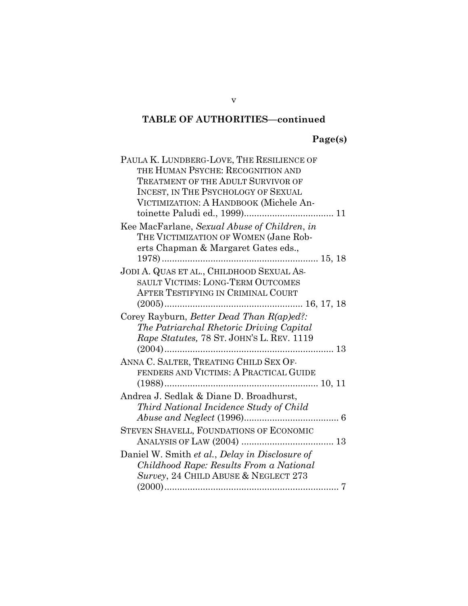# **Page(s)**

| PAULA K. LUNDBERG-LOVE, THE RESILIENCE OF      |
|------------------------------------------------|
| THE HUMAN PSYCHE: RECOGNITION AND              |
| <b>TREATMENT OF THE ADULT SURVIVOR OF</b>      |
| INCEST, IN THE PSYCHOLOGY OF SEXUAL            |
| VICTIMIZATION: A HANDBOOK (Michele An-         |
|                                                |
| Kee MacFarlane, Sexual Abuse of Children, in   |
| THE VICTIMIZATION OF WOMEN (Jane Rob-          |
| erts Chapman & Margaret Gates eds.,            |
|                                                |
| JODI A. QUAS ET AL., CHILDHOOD SEXUAL AS-      |
| SAULT VICTIMS: LONG-TERM OUTCOMES              |
| AFTER TESTIFYING IN CRIMINAL COURT             |
|                                                |
| Corey Rayburn, Better Dead Than R(ap)ed?:      |
| The Patriarchal Rhetoric Driving Capital       |
| Rape Statutes, 78 ST. JOHN'S L. REV. 1119      |
|                                                |
| ANNA C. SALTER, TREATING CHILD SEX OF-         |
| FENDERS AND VICTIMS: A PRACTICAL GUIDE         |
|                                                |
| Andrea J. Sedlak & Diane D. Broadhurst,        |
| Third National Incidence Study of Child        |
|                                                |
| <b>STEVEN SHAVELL, FOUNDATIONS OF ECONOMIC</b> |
|                                                |
| Daniel W. Smith et al., Delay in Disclosure of |
| Childhood Rape: Results From a National        |
| Survey, 24 CHILD ABUSE & NEGLECT 273           |
|                                                |
|                                                |

v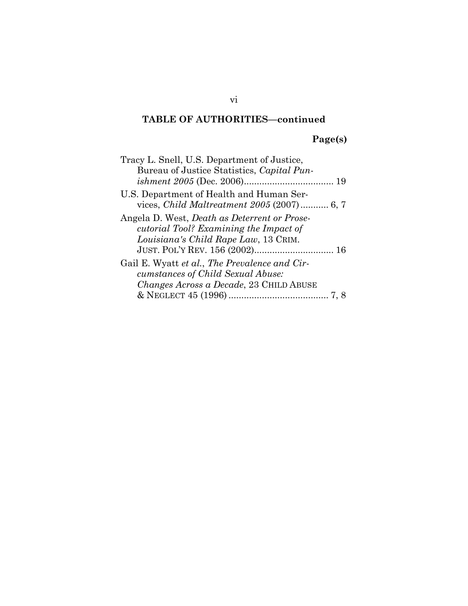# **Page(s)**

| Tracy L. Snell, U.S. Department of Justice,                        |
|--------------------------------------------------------------------|
| Bureau of Justice Statistics, Capital Pun-                         |
|                                                                    |
| U.S. Department of Health and Human Ser-                           |
| vices, <i>Child Maltreatment 2005</i> (2007) 6, 7                  |
| Angela D. West, <i>Death</i> as <i>Deterrent</i> or <i>Prose</i> - |
| cutorial Tool? Examining the Impact of                             |
| Louisiana's Child Rape Law, 13 CRIM.                               |
|                                                                    |
| Gail E. Wyatt et al., The Prevalence and Cir-                      |
| cumstances of Child Sexual Abuse:                                  |
| Changes Across a Decade, 23 CHILD ABUSE                            |
|                                                                    |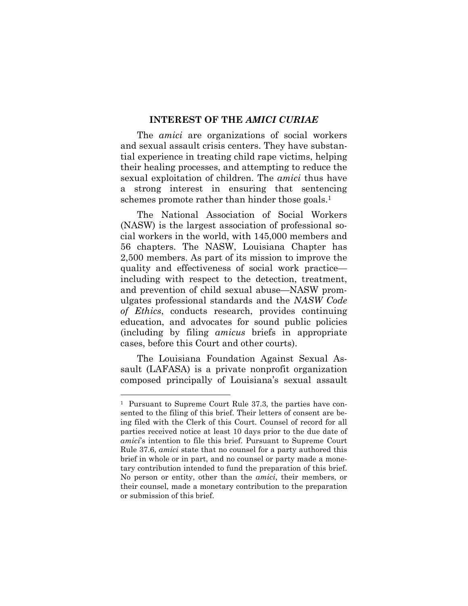#### **INTEREST OF THE** *AMICI CURIAE*

The *amici* are organizations of social workers and sexual assault crisis centers. They have substantial experience in treating child rape victims, helping their healing processes, and attempting to reduce the sexual exploitation of children. The *amici* thus have a strong interest in ensuring that sentencing schemes promote rather than hinder those goals.<sup>1</sup>

The National Association of Social Workers (NASW) is the largest association of professional social workers in the world, with 145,000 members and 56 chapters. The NASW, Louisiana Chapter has 2,500 members. As part of its mission to improve the quality and effectiveness of social work practice including with respect to the detection, treatment, and prevention of child sexual abuse—NASW promulgates professional standards and the *NASW Code of Ethics*, conducts research, provides continuing education, and advocates for sound public policies (including by filing *amicus* briefs in appropriate cases, before this Court and other courts).

The Louisiana Foundation Against Sexual Assault (LAFASA) is a private nonprofit organization composed principally of Louisiana's sexual assault

<sup>1</sup> Pursuant to Supreme Court Rule 37.3, the parties have consented to the filing of this brief. Their letters of consent are being filed with the Clerk of this Court. Counsel of record for all parties received notice at least 10 days prior to the due date of *amici*'s intention to file this brief. Pursuant to Supreme Court Rule 37.6, *amici* state that no counsel for a party authored this brief in whole or in part, and no counsel or party made a monetary contribution intended to fund the preparation of this brief. No person or entity, other than the *amici*, their members, or their counsel, made a monetary contribution to the preparation or submission of this brief.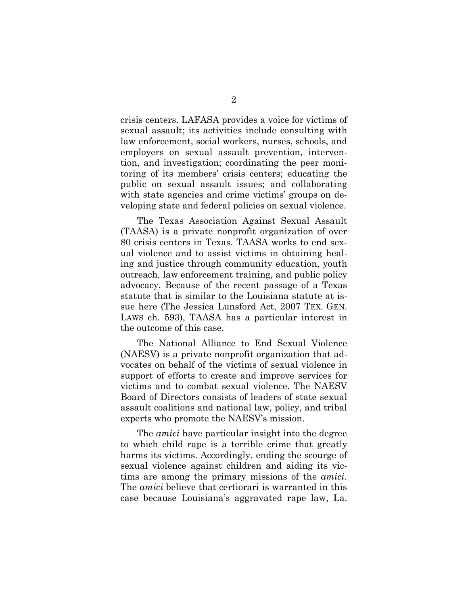crisis centers. LAFASA provides a voice for victims of sexual assault; its activities include consulting with law enforcement, social workers, nurses, schools, and employers on sexual assault prevention, intervention, and investigation; coordinating the peer monitoring of its members' crisis centers; educating the public on sexual assault issues; and collaborating with state agencies and crime victims' groups on developing state and federal policies on sexual violence.

The Texas Association Against Sexual Assault (TAASA) is a private nonprofit organization of over 80 crisis centers in Texas. TAASA works to end sexual violence and to assist victims in obtaining healing and justice through community education, youth outreach, law enforcement training, and public policy advocacy. Because of the recent passage of a Texas statute that is similar to the Louisiana statute at issue here (The Jessica Lunsford Act, 2007 TEX. GEN. LAWS ch. 593), TAASA has a particular interest in the outcome of this case.

The National Alliance to End Sexual Violence (NAESV) is a private nonprofit organization that advocates on behalf of the victims of sexual violence in support of efforts to create and improve services for victims and to combat sexual violence. The NAESV Board of Directors consists of leaders of state sexual assault coalitions and national law, policy, and tribal experts who promote the NAESV's mission.

The *amici* have particular insight into the degree to which child rape is a terrible crime that greatly harms its victims. Accordingly, ending the scourge of sexual violence against children and aiding its victims are among the primary missions of the *amici*. The *amici* believe that certiorari is warranted in this case because Louisiana's aggravated rape law, La.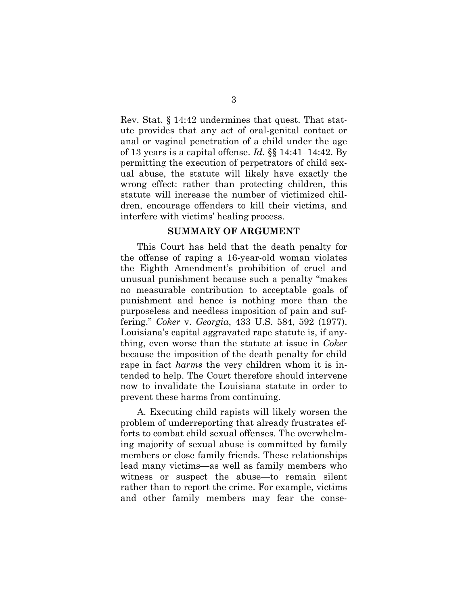Rev. Stat. § 14:42 undermines that quest. That statute provides that any act of oral-genital contact or anal or vaginal penetration of a child under the age of 13 years is a capital offense. *Id.* §§ 14:41–14:42. By permitting the execution of perpetrators of child sexual abuse, the statute will likely have exactly the wrong effect: rather than protecting children, this statute will increase the number of victimized children, encourage offenders to kill their victims, and interfere with victims' healing process.

#### **SUMMARY OF ARGUMENT**

This Court has held that the death penalty for the offense of raping a 16-year-old woman violates the Eighth Amendment's prohibition of cruel and unusual punishment because such a penalty "makes no measurable contribution to acceptable goals of punishment and hence is nothing more than the purposeless and needless imposition of pain and suffering." *Coker* v. *Georgia*, 433 U.S. 584, 592 (1977). Louisiana's capital aggravated rape statute is, if anything, even worse than the statute at issue in *Coker* because the imposition of the death penalty for child rape in fact *harms* the very children whom it is intended to help. The Court therefore should intervene now to invalidate the Louisiana statute in order to prevent these harms from continuing.

A. Executing child rapists will likely worsen the problem of underreporting that already frustrates efforts to combat child sexual offenses. The overwhelming majority of sexual abuse is committed by family members or close family friends. These relationships lead many victims—as well as family members who witness or suspect the abuse—to remain silent rather than to report the crime. For example, victims and other family members may fear the conse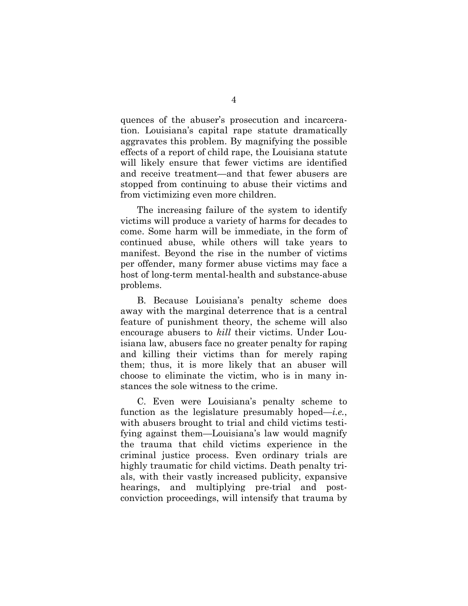quences of the abuser's prosecution and incarceration. Louisiana's capital rape statute dramatically aggravates this problem. By magnifying the possible effects of a report of child rape, the Louisiana statute will likely ensure that fewer victims are identified and receive treatment—and that fewer abusers are stopped from continuing to abuse their victims and from victimizing even more children.

The increasing failure of the system to identify victims will produce a variety of harms for decades to come. Some harm will be immediate, in the form of continued abuse, while others will take years to manifest. Beyond the rise in the number of victims per offender, many former abuse victims may face a host of long-term mental-health and substance-abuse problems.

B. Because Louisiana's penalty scheme does away with the marginal deterrence that is a central feature of punishment theory, the scheme will also encourage abusers to *kill* their victims. Under Louisiana law, abusers face no greater penalty for raping and killing their victims than for merely raping them; thus, it is more likely that an abuser will choose to eliminate the victim, who is in many instances the sole witness to the crime.

C. Even were Louisiana's penalty scheme to function as the legislature presumably hoped—*i.e.*, with abusers brought to trial and child victims testifying against them—Louisiana's law would magnify the trauma that child victims experience in the criminal justice process. Even ordinary trials are highly traumatic for child victims. Death penalty trials, with their vastly increased publicity, expansive hearings, and multiplying pre-trial and postconviction proceedings, will intensify that trauma by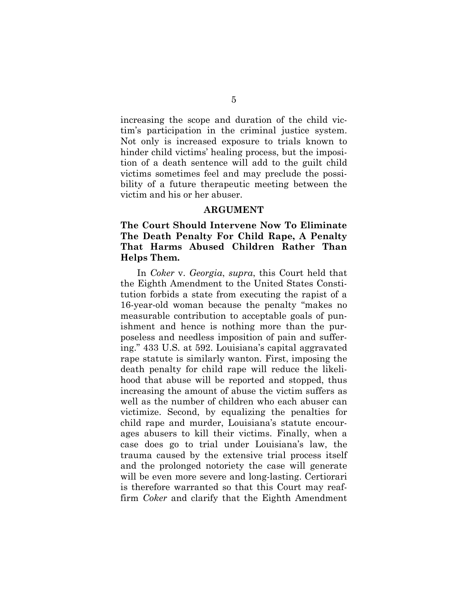increasing the scope and duration of the child victim's participation in the criminal justice system. Not only is increased exposure to trials known to hinder child victims' healing process, but the imposition of a death sentence will add to the guilt child victims sometimes feel and may preclude the possibility of a future therapeutic meeting between the victim and his or her abuser.

#### **ARGUMENT**

#### **The Court Should Intervene Now To Eliminate The Death Penalty For Child Rape, A Penalty That Harms Abused Children Rather Than Helps Them.**

In *Coker* v. *Georgia*, *supra*, this Court held that the Eighth Amendment to the United States Constitution forbids a state from executing the rapist of a 16-year-old woman because the penalty "makes no measurable contribution to acceptable goals of punishment and hence is nothing more than the purposeless and needless imposition of pain and suffering." 433 U.S. at 592. Louisiana's capital aggravated rape statute is similarly wanton. First, imposing the death penalty for child rape will reduce the likelihood that abuse will be reported and stopped, thus increasing the amount of abuse the victim suffers as well as the number of children who each abuser can victimize. Second, by equalizing the penalties for child rape and murder, Louisiana's statute encourages abusers to kill their victims. Finally, when a case does go to trial under Louisiana's law, the trauma caused by the extensive trial process itself and the prolonged notoriety the case will generate will be even more severe and long-lasting. Certiorari is therefore warranted so that this Court may reaffirm *Coker* and clarify that the Eighth Amendment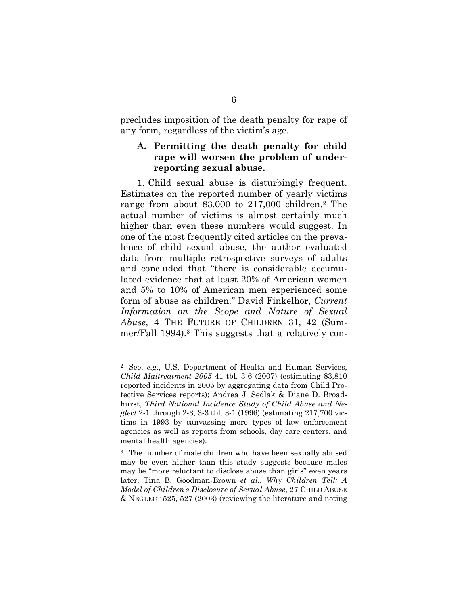precludes imposition of the death penalty for rape of any form, regardless of the victim's age.

#### **A. Permitting the death penalty for child rape will worsen the problem of underreporting sexual abuse.**

1. Child sexual abuse is disturbingly frequent. Estimates on the reported number of yearly victims range from about 83,000 to 217,000 children.<sup>2</sup> The actual number of victims is almost certainly much higher than even these numbers would suggest. In one of the most frequently cited articles on the prevalence of child sexual abuse, the author evaluated data from multiple retrospective surveys of adults and concluded that "there is considerable accumulated evidence that at least 20% of American women and 5% to 10% of American men experienced some form of abuse as children." David Finkelhor, *Current Information on the Scope and Nature of Sexual Abuse*, 4 THE FUTURE OF CHILDREN 31, 42 (Summer/Fall 1994).<sup>3</sup> This suggests that a relatively con-

<sup>2</sup> See, *e.g.*, U.S. Department of Health and Human Services, *Child Maltreatment 2005* 41 tbl. 3-6 (2007) (estimating 83,810 reported incidents in 2005 by aggregating data from Child Protective Services reports); Andrea J. Sedlak & Diane D. Broadhurst, *Third National Incidence Study of Child Abuse and Neglect* 2-1 through 2-3, 3-3 tbl. 3-1 (1996) (estimating 217,700 victims in 1993 by canvassing more types of law enforcement agencies as well as reports from schools, day care centers, and mental health agencies).

<sup>3</sup> The number of male children who have been sexually abused may be even higher than this study suggests because males may be "more reluctant to disclose abuse than girls" even years later. Tina B. Goodman-Brown *et al.*, *Why Children Tell: A Model of Children's Disclosure of Sexual Abuse*, 27 CHILD ABUSE & NEGLECT 525, 527 (2003) (reviewing the literature and noting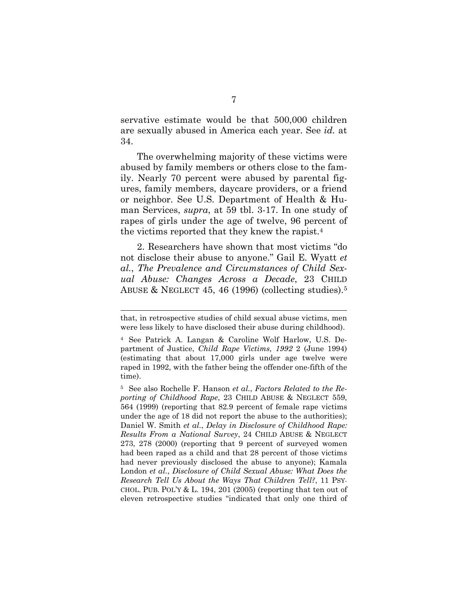servative estimate would be that 500,000 children are sexually abused in America each year. See *id.* at 34.

The overwhelming majority of these victims were abused by family members or others close to the family. Nearly 70 percent were abused by parental figures, family members, daycare providers, or a friend or neighbor. See U.S. Department of Health & Human Services, *supra*, at 59 tbl. 3-17. In one study of rapes of girls under the age of twelve, 96 percent of the victims reported that they knew the rapist.<sup>4</sup>

2. Researchers have shown that most victims "do not disclose their abuse to anyone." Gail E. Wyatt *et al.*, *The Prevalence and Circumstances of Child Sexual Abuse: Changes Across a Decade*, 23 CHILD ABUSE & NEGLECT 45, 46 (1996) (collecting studies).<sup>5</sup>

that, in retrospective studies of child sexual abuse victims, men were less likely to have disclosed their abuse during childhood).

<sup>4</sup> See Patrick A. Langan & Caroline Wolf Harlow, U.S. Department of Justice, *Child Rape Victims, 1992* 2 (June 1994) (estimating that about 17,000 girls under age twelve were raped in 1992, with the father being the offender one-fifth of the time).

<sup>5</sup> See also Rochelle F. Hanson *et al.*, *Factors Related to the Reporting of Childhood Rape*, 23 CHILD ABUSE & NEGLECT 559, 564 (1999) (reporting that 82.9 percent of female rape victims under the age of 18 did not report the abuse to the authorities); Daniel W. Smith *et al.*, *Delay in Disclosure of Childhood Rape: Results From a National Survey*, 24 CHILD ABUSE & NEGLECT 273, 278 (2000) (reporting that 9 percent of surveyed women had been raped as a child and that 28 percent of those victims had never previously disclosed the abuse to anyone); Kamala London *et al.*, *Disclosure of Child Sexual Abuse: What Does the Research Tell Us About the Ways That Children Tell?*, 11 PSY-CHOL. PUB. POL'Y  $& L. 194, 201 (2005)$  (reporting that ten out of eleven retrospective studies "indicated that only one third of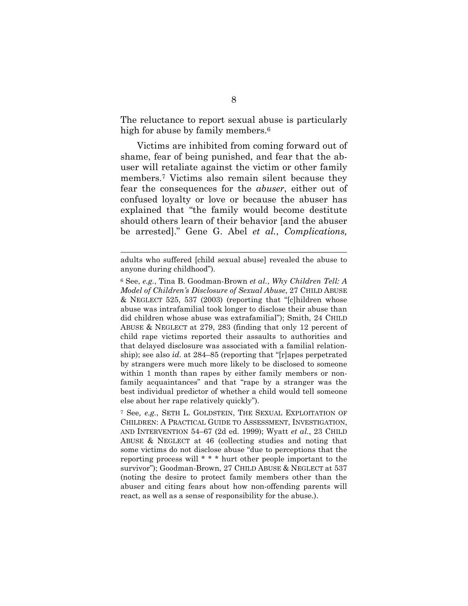The reluctance to report sexual abuse is particularly high for abuse by family members.<sup>6</sup>

Victims are inhibited from coming forward out of shame, fear of being punished, and fear that the abuser will retaliate against the victim or other family members.<sup>7</sup> Victims also remain silent because they fear the consequences for the *abuser*, either out of confused loyalty or love or because the abuser has explained that "the family would become destitute should others learn of their behavior [and the abuser be arrested]." Gene G. Abel *et al.*, *Complications,*

adults who suffered [child sexual abuse] revealed the abuse to anyone during childhood").

<sup>6</sup> See, *e.g.*, Tina B. Goodman-Brown *et al.*, *Why Children Tell: A Model of Children's Disclosure of Sexual Abuse*, 27 CHILD ABUSE & NEGLECT 525, 537 (2003) (reporting that "[c]hildren whose abuse was intrafamilial took longer to disclose their abuse than did children whose abuse was extrafamilial"); Smith, 24 CHILD ABUSE & NEGLECT at 279, 283 (finding that only 12 percent of child rape victims reported their assaults to authorities and that delayed disclosure was associated with a familial relationship); see also *id.* at 284–85 (reporting that "[r]apes perpetrated by strangers were much more likely to be disclosed to someone within 1 month than rapes by either family members or nonfamily acquaintances" and that "rape by a stranger was the best individual predictor of whether a child would tell someone else about her rape relatively quickly").

<sup>7</sup> See*, e.g.*, SETH L. GOLDSTEIN, THE SEXUAL EXPLOITATION OF CHILDREN: A PRACTICAL GUIDE TO ASSESSMENT, INVESTIGATION, AND INTERVENTION 54–67 (2d ed. 1999); Wyatt *et al.*, 23 CHILD ABUSE & NEGLECT at 46 (collecting studies and noting that some victims do not disclose abuse "due to perceptions that the reporting process will \* \* \* hurt other people important to the survivor"); Goodman-Brown, 27 CHILD ABUSE & NEGLECT at 537 (noting the desire to protect family members other than the abuser and citing fears about how non-offending parents will react, as well as a sense of responsibility for the abuse.).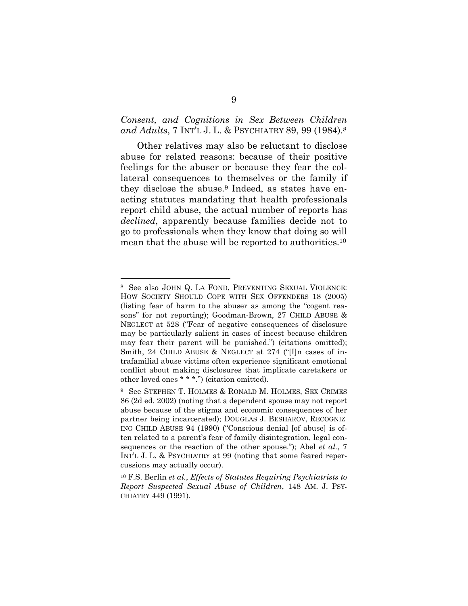### *Consent, and Cognitions in Sex Between Children and Adults*, 7 INT'L J. L. & PSYCHIATRY 89, 99 (1984).<sup>8</sup>

Other relatives may also be reluctant to disclose abuse for related reasons: because of their positive feelings for the abuser or because they fear the collateral consequences to themselves or the family if they disclose the abuse.<sup>9</sup> Indeed, as states have enacting statutes mandating that health professionals report child abuse, the actual number of reports has *declined*, apparently because families decide not to go to professionals when they know that doing so will mean that the abuse will be reported to authorities.<sup>10</sup>

<sup>8</sup> See also JOHN Q. LA FOND, PREVENTING SEXUAL VIOLENCE: HOW SOCIETY SHOULD COPE WITH SEX OFFENDERS 18 (2005) (listing fear of harm to the abuser as among the "cogent reasons" for not reporting); Goodman-Brown, 27 CHILD ABUSE & NEGLECT at 528 ("Fear of negative consequences of disclosure may be particularly salient in cases of incest because children may fear their parent will be punished.") (citations omitted); Smith, 24 CHILD ABUSE & NEGLECT at 274 ("[I]n cases of intrafamilial abuse victims often experience significant emotional conflict about making disclosures that implicate caretakers or other loved ones \* \* \*.") (citation omitted).

<sup>9</sup> See STEPHEN T. HOLMES & RONALD M. HOLMES, SEX CRIMES 86 (2d ed. 2002) (noting that a dependent spouse may not report abuse because of the stigma and economic consequences of her partner being incarcerated); DOUGLAS J. BESHAROV, RECOGNIZ-ING CHILD ABUSE 94 (1990) ("Conscious denial [of abuse] is often related to a parent's fear of family disintegration, legal consequences or the reaction of the other spouse."); Abel *et al.*, 7 INT'L J. L. & PSYCHIATRY at 99 (noting that some feared repercussions may actually occur).

<sup>10</sup> F.S. Berlin *et al.*, *Effects of Statutes Requiring Psychiatrists to Report Suspected Sexual Abuse of Children*, 148 AM. J. PSY-CHIATRY 449 (1991).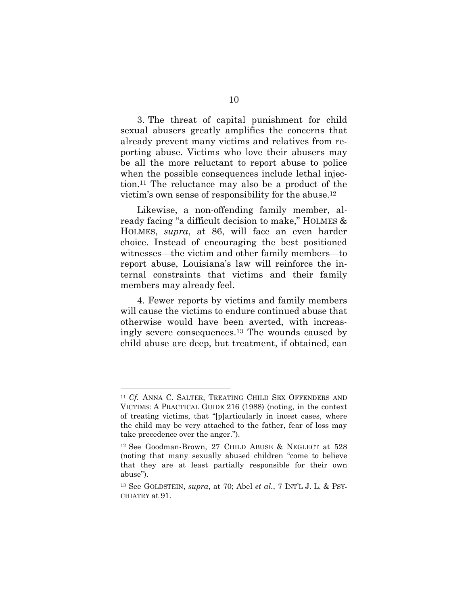3. The threat of capital punishment for child sexual abusers greatly amplifies the concerns that already prevent many victims and relatives from reporting abuse. Victims who love their abusers may be all the more reluctant to report abuse to police when the possible consequences include lethal injection.<sup>11</sup> The reluctance may also be a product of the victim's own sense of responsibility for the abuse.<sup>12</sup>

Likewise, a non-offending family member, already facing "a difficult decision to make," HOLMES & HOLMES, *supra*, at 86, will face an even harder choice. Instead of encouraging the best positioned witnesses—the victim and other family members—to report abuse, Louisiana's law will reinforce the internal constraints that victims and their family members may already feel.

4. Fewer reports by victims and family members will cause the victims to endure continued abuse that otherwise would have been averted, with increasingly severe consequences.<sup>13</sup> The wounds caused by child abuse are deep, but treatment, if obtained, can

<sup>&</sup>lt;sup>11</sup> *Cf.* ANNA C. SALTER, TREATING CHILD SEX OFFENDERS AND VICTIMS: A PRACTICAL GUIDE 216 (1988) (noting, in the context of treating victims, that "[p]articularly in incest cases, where the child may be very attached to the father, fear of loss may take precedence over the anger.").

<sup>12</sup> See Goodman-Brown, 27 CHILD ABUSE & NEGLECT at 528 (noting that many sexually abused children "come to believe that they are at least partially responsible for their own abuse").

<sup>13</sup> See GOLDSTEIN, *supra*, at 70; Abel *et al.*, 7 INT'L J. L. & PSY-CHIATRY at 91.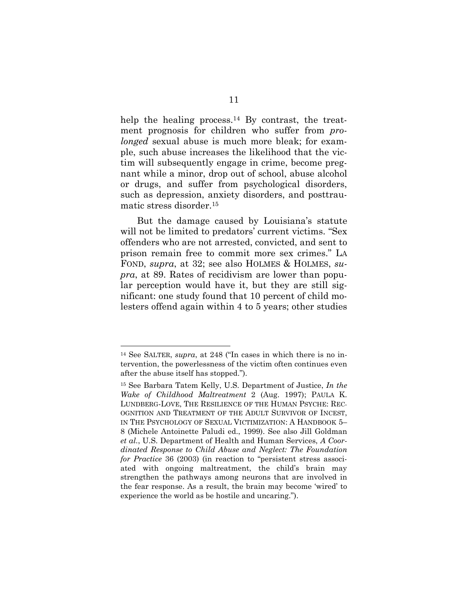help the healing process.<sup>14</sup> By contrast, the treatment prognosis for children who suffer from *prolonged* sexual abuse is much more bleak; for example, such abuse increases the likelihood that the victim will subsequently engage in crime, become pregnant while a minor, drop out of school, abuse alcohol or drugs, and suffer from psychological disorders, such as depression, anxiety disorders, and posttraumatic stress disorder.<sup>15</sup>

But the damage caused by Louisiana's statute will not be limited to predators' current victims. "Sex offenders who are not arrested, convicted, and sent to prison remain free to commit more sex crimes." LA FOND, *supra*, at 32; see also HOLMES & HOLMES, *supra*, at 89. Rates of recidivism are lower than popular perception would have it, but they are still significant: one study found that 10 percent of child molesters offend again within 4 to 5 years; other studies

<sup>14</sup> See SALTER, *supra*, at 248 ("In cases in which there is no intervention, the powerlessness of the victim often continues even after the abuse itself has stopped.").

<sup>15</sup> See Barbara Tatem Kelly, U.S. Department of Justice, *In the Wake of Childhood Maltreatment* 2 (Aug. 1997); PAULA K. LUNDBERG-LOVE, THE RESILIENCE OF THE HUMAN PSYCHE: REC-OGNITION AND TREATMENT OF THE ADULT SURVIVOR OF INCEST, IN THE PSYCHOLOGY OF SEXUAL VICTIMIZATION: A HANDBOOK 5– 8 (Michele Antoinette Paludi ed., 1999). See also Jill Goldman *et al.*, U.S. Department of Health and Human Services, *A Coordinated Response to Child Abuse and Neglect: The Foundation for Practice* 36 (2003) (in reaction to "persistent stress associated with ongoing maltreatment, the child's brain may strengthen the pathways among neurons that are involved in the fear response. As a result, the brain may become 'wired' to experience the world as be hostile and uncaring.").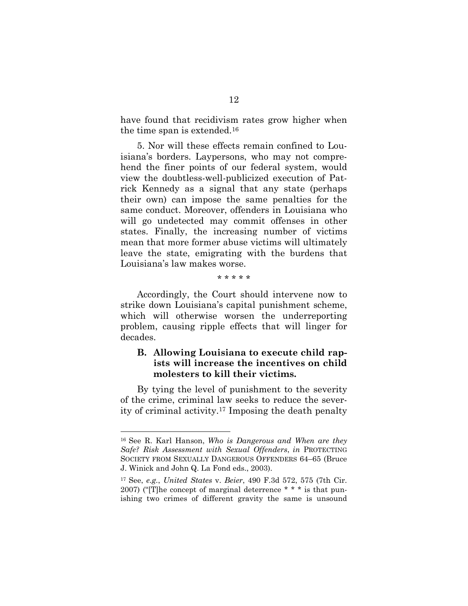have found that recidivism rates grow higher when the time span is extended.<sup>16</sup>

5. Nor will these effects remain confined to Louisiana's borders. Laypersons, who may not comprehend the finer points of our federal system, would view the doubtless-well-publicized execution of Patrick Kennedy as a signal that any state (perhaps their own) can impose the same penalties for the same conduct. Moreover, offenders in Louisiana who will go undetected may commit offenses in other states. Finally, the increasing number of victims mean that more former abuse victims will ultimately leave the state, emigrating with the burdens that Louisiana's law makes worse.

#### \* \* \* \* \*

Accordingly, the Court should intervene now to strike down Louisiana's capital punishment scheme, which will otherwise worsen the underreporting problem, causing ripple effects that will linger for decades.

#### **B. Allowing Louisiana to execute child rapists will increase the incentives on child molesters to kill their victims.**

By tying the level of punishment to the severity of the crime, criminal law seeks to reduce the severity of criminal activity.<sup>17</sup> Imposing the death penalty

<sup>16</sup> See R. Karl Hanson, *Who is Dangerous and When are they Safe? Risk Assessment with Sexual Offenders*, *in* PROTECTING SOCIETY FROM SEXUALLY DANGEROUS OFFENDERS 64–65 (Bruce J. Winick and John Q. La Fond eds., 2003).

<sup>17</sup> See, *e.g.*, *United States* v. *Beier*, 490 F.3d 572, 575 (7th Cir. 2007) ("[T]he concept of marginal deterrence \* \* \* is that punishing two crimes of different gravity the same is unsound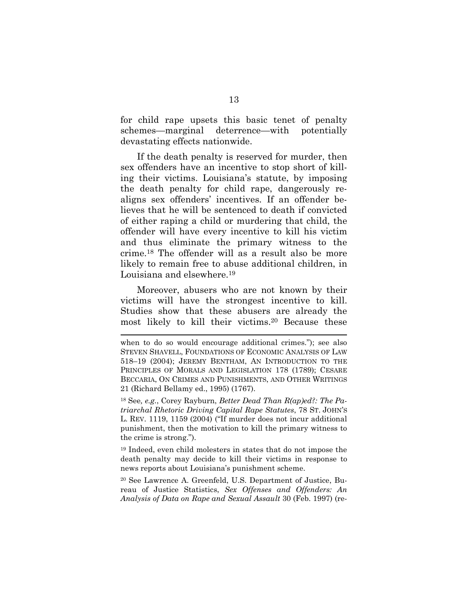for child rape upsets this basic tenet of penalty schemes—marginal deterrence—with potentially devastating effects nationwide.

If the death penalty is reserved for murder, then sex offenders have an incentive to stop short of killing their victims. Louisiana's statute, by imposing the death penalty for child rape, dangerously realigns sex offenders' incentives. If an offender believes that he will be sentenced to death if convicted of either raping a child or murdering that child, the offender will have every incentive to kill his victim and thus eliminate the primary witness to the crime.<sup>18</sup> The offender will as a result also be more likely to remain free to abuse additional children, in Louisiana and elsewhere.<sup>19</sup>

Moreover, abusers who are not known by their victims will have the strongest incentive to kill. Studies show that these abusers are already the most likely to kill their victims.<sup>20</sup> Because these

<sup>18</sup> See*, e.g.*, Corey Rayburn, *Better Dead Than R(ap)ed?: The Patriarchal Rhetoric Driving Capital Rape Statutes*, 78 ST. JOHN'S L. REV. 1119, 1159 (2004) ("If murder does not incur additional punishment, then the motivation to kill the primary witness to the crime is strong.").

<sup>19</sup> Indeed, even child molesters in states that do not impose the death penalty may decide to kill their victims in response to news reports about Louisiana's punishment scheme.

<sup>20</sup> See Lawrence A. Greenfeld, U.S. Department of Justice, Bureau of Justice Statistics, *Sex Offenses and Offenders: An Analysis of Data on Rape and Sexual Assault* 30 (Feb. 1997) (re-

when to do so would encourage additional crimes."); see also STEVEN SHAVELL, FOUNDATIONS OF ECONOMIC ANALYSIS OF LAW 518–19 (2004); JEREMY BENTHAM, AN INTRODUCTION TO THE PRINCIPLES OF MORALS AND LEGISLATION 178 (1789); CESARE BECCARIA, ON CRIMES AND PUNISHMENTS, AND OTHER WRITINGS 21 (Richard Bellamy ed., 1995) (1767).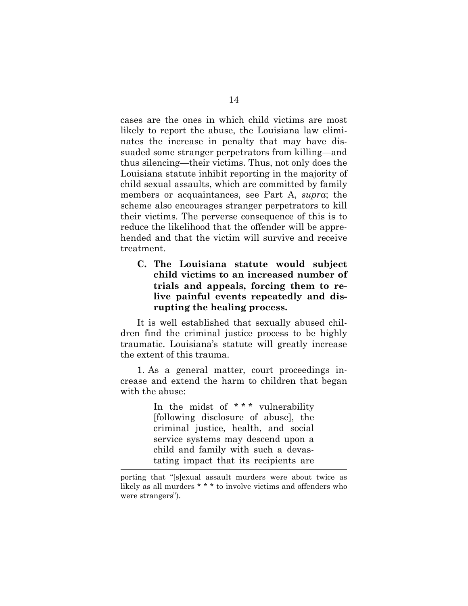cases are the ones in which child victims are most likely to report the abuse, the Louisiana law eliminates the increase in penalty that may have dissuaded some stranger perpetrators from killing—and thus silencing—their victims. Thus, not only does the Louisiana statute inhibit reporting in the majority of child sexual assaults, which are committed by family members or acquaintances, see Part A, *supra*; the scheme also encourages stranger perpetrators to kill their victims. The perverse consequence of this is to reduce the likelihood that the offender will be apprehended and that the victim will survive and receive treatment.

**C. The Louisiana statute would subject child victims to an increased number of trials and appeals, forcing them to relive painful events repeatedly and disrupting the healing process.**

It is well established that sexually abused children find the criminal justice process to be highly traumatic. Louisiana's statute will greatly increase the extent of this trauma.

1. As a general matter, court proceedings increase and extend the harm to children that began with the abuse:

> In the midst of \*\*\* vulnerability [following disclosure of abuse], the criminal justice, health, and social service systems may descend upon a child and family with such a devastating impact that its recipients are

porting that "[s]exual assault murders were about twice as likely as all murders \* \* \* to involve victims and offenders who were strangers").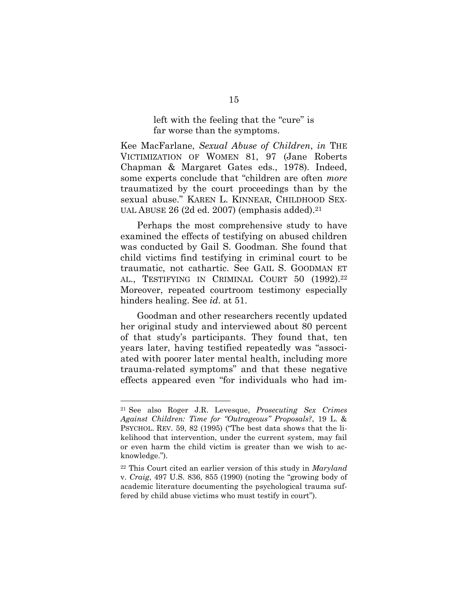#### left with the feeling that the "cure" is far worse than the symptoms.

Kee MacFarlane, *Sexual Abuse of Children*, *in* THE VICTIMIZATION OF WOMEN 81, 97 (Jane Roberts Chapman & Margaret Gates eds., 1978). Indeed, some experts conclude that "children are often *more* traumatized by the court proceedings than by the sexual abuse." KAREN L. KINNEAR, CHILDHOOD SEX-UAL ABUSE 26 (2d ed. 2007) (emphasis added).<sup>21</sup>

Perhaps the most comprehensive study to have examined the effects of testifying on abused children was conducted by Gail S. Goodman. She found that child victims find testifying in criminal court to be traumatic, not cathartic. See GAIL S. GOODMAN ET AL., TESTIFYING IN CRIMINAL COURT 50 (1992).<sup>22</sup> Moreover, repeated courtroom testimony especially hinders healing. See *id*. at 51.

Goodman and other researchers recently updated her original study and interviewed about 80 percent of that study's participants. They found that, ten years later, having testified repeatedly was "associated with poorer later mental health, including more trauma-related symptoms" and that these negative effects appeared even "for individuals who had im-

<sup>21</sup> See also Roger J.R. Levesque, *Prosecuting Sex Crimes Against Children: Time for "Outrageous" Proposals?*, 19 L. & PSYCHOL. REV. 59, 82 (1995) ("The best data shows that the likelihood that intervention, under the current system, may fail or even harm the child victim is greater than we wish to acknowledge.").

<sup>22</sup> This Court cited an earlier version of this study in *Maryland* v. *Craig*, 497 U.S. 836, 855 (1990) (noting the "growing body of academic literature documenting the psychological trauma suffered by child abuse victims who must testify in court").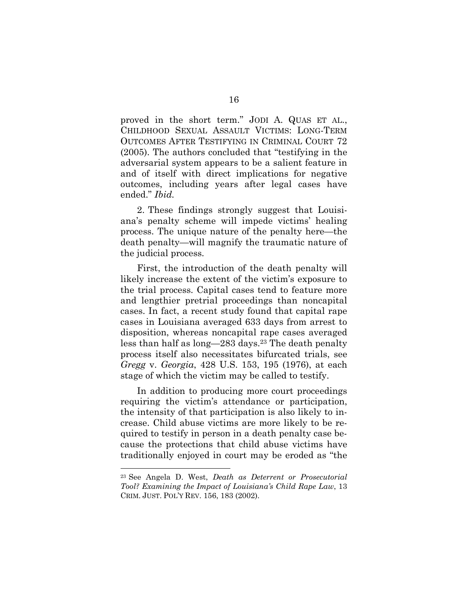proved in the short term." JODI A. QUAS ET AL., CHILDHOOD SEXUAL ASSAULT VICTIMS: LONG-TERM OUTCOMES AFTER TESTIFYING IN CRIMINAL COURT 72 (2005). The authors concluded that "testifying in the adversarial system appears to be a salient feature in and of itself with direct implications for negative outcomes, including years after legal cases have ended." *Ibid.*

2. These findings strongly suggest that Louisiana's penalty scheme will impede victims' healing process. The unique nature of the penalty here—the death penalty—will magnify the traumatic nature of the judicial process.

First, the introduction of the death penalty will likely increase the extent of the victim's exposure to the trial process. Capital cases tend to feature more and lengthier pretrial proceedings than noncapital cases. In fact, a recent study found that capital rape cases in Louisiana averaged 633 days from arrest to disposition, whereas noncapital rape cases averaged less than half as long—283 days.<sup>23</sup> The death penalty process itself also necessitates bifurcated trials, see *Gregg* v. *Georgia*, 428 U.S. 153, 195 (1976), at each stage of which the victim may be called to testify.

In addition to producing more court proceedings requiring the victim's attendance or participation, the intensity of that participation is also likely to increase. Child abuse victims are more likely to be required to testify in person in a death penalty case because the protections that child abuse victims have traditionally enjoyed in court may be eroded as "the

<sup>23</sup> See Angela D. West, *Death as Deterrent or Prosecutorial Tool? Examining the Impact of Louisiana's Child Rape Law*, 13 CRIM. JUST. POL'Y REV. 156, 183 (2002).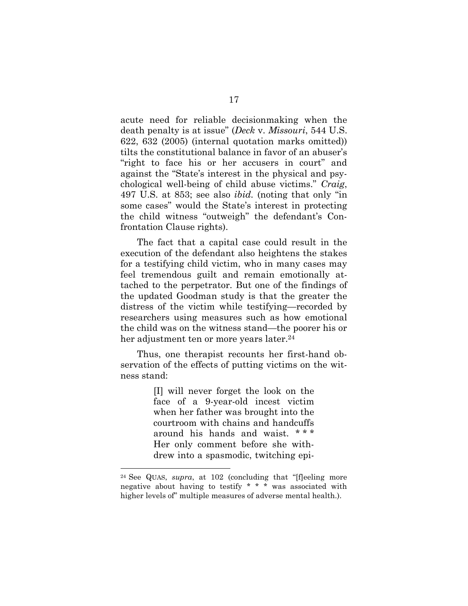acute need for reliable decisionmaking when the death penalty is at issue" (*Deck* v. *Missouri*, 544 U.S. 622, 632 (2005) (internal quotation marks omitted)) tilts the constitutional balance in favor of an abuser's "right to face his or her accusers in court" and against the "State's interest in the physical and psychological well-being of child abuse victims." *Craig*, 497 U.S. at 853; see also *ibid.* (noting that only "in some cases" would the State's interest in protecting the child witness "outweigh" the defendant's Confrontation Clause rights).

The fact that a capital case could result in the execution of the defendant also heightens the stakes for a testifying child victim, who in many cases may feel tremendous guilt and remain emotionally attached to the perpetrator. But one of the findings of the updated Goodman study is that the greater the distress of the victim while testifying—recorded by researchers using measures such as how emotional the child was on the witness stand—the poorer his or her adjustment ten or more years later.<sup>24</sup>

Thus, one therapist recounts her first-hand observation of the effects of putting victims on the witness stand:

> [I] will never forget the look on the face of a 9-year-old incest victim when her father was brought into the courtroom with chains and handcuffs around his hands and waist. \* \* \* Her only comment before she withdrew into a spasmodic, twitching epi-

<sup>&</sup>lt;sup>24</sup> See QUAS, *supra*, at 102 (concluding that "[f]eeling more negative about having to testify \* \* \* was associated with higher levels of" multiple measures of adverse mental health.).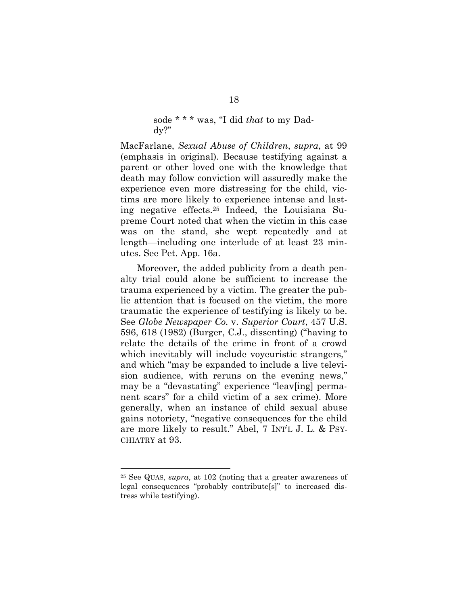#### sode \* \* \* was, "I did *that* to my Daddy?"

MacFarlane, *Sexual Abuse of Children*, *supra*, at 99 (emphasis in original). Because testifying against a parent or other loved one with the knowledge that death may follow conviction will assuredly make the experience even more distressing for the child, victims are more likely to experience intense and lasting negative effects.<sup>25</sup> Indeed, the Louisiana Supreme Court noted that when the victim in this case was on the stand, she wept repeatedly and at length—including one interlude of at least 23 minutes. See Pet. App. 16a.

Moreover, the added publicity from a death penalty trial could alone be sufficient to increase the trauma experienced by a victim. The greater the public attention that is focused on the victim, the more traumatic the experience of testifying is likely to be. See *Globe Newspaper Co.* v. *Superior Court*, 457 U.S. 596, 618 (1982) (Burger, C.J., dissenting) ("having to relate the details of the crime in front of a crowd which inevitably will include voyeuristic strangers," and which "may be expanded to include a live television audience, with reruns on the evening news," may be a "devastating" experience "leav[ing] permanent scars" for a child victim of a sex crime). More generally, when an instance of child sexual abuse gains notoriety, "negative consequences for the child are more likely to result." Abel, 7 INT'L J. L. & PSY-CHIATRY at 93.

<sup>25</sup> See QUAS, *supra*, at 102 (noting that a greater awareness of legal consequences "probably contribute[s]" to increased distress while testifying).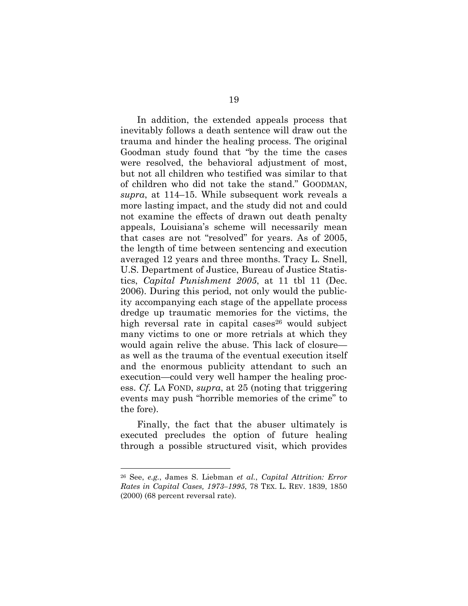In addition, the extended appeals process that inevitably follows a death sentence will draw out the trauma and hinder the healing process. The original Goodman study found that "by the time the cases were resolved, the behavioral adjustment of most, but not all children who testified was similar to that of children who did not take the stand." GOODMAN, *supra*, at 114–15. While subsequent work reveals a more lasting impact, and the study did not and could not examine the effects of drawn out death penalty appeals, Louisiana's scheme will necessarily mean that cases are not "resolved" for years. As of 2005, the length of time between sentencing and execution averaged 12 years and three months. Tracy L. Snell, U.S. Department of Justice, Bureau of Justice Statistics, *Capital Punishment 2005*, at 11 tbl 11 (Dec. 2006). During this period, not only would the publicity accompanying each stage of the appellate process dredge up traumatic memories for the victims, the high reversal rate in capital cases<sup>26</sup> would subject many victims to one or more retrials at which they would again relive the abuse. This lack of closure as well as the trauma of the eventual execution itself and the enormous publicity attendant to such an execution—could very well hamper the healing process. *Cf.* LA FOND, *supra*, at 25 (noting that triggering events may push "horrible memories of the crime" to the fore).

Finally, the fact that the abuser ultimately is executed precludes the option of future healing through a possible structured visit, which provides

<sup>26</sup> See, *e.g.*, James S. Liebman *et al.*, *Capital Attrition: Error Rates in Capital Cases, 1973–1995*, 78 TEX. L. REV. 1839, 1850 (2000) (68 percent reversal rate).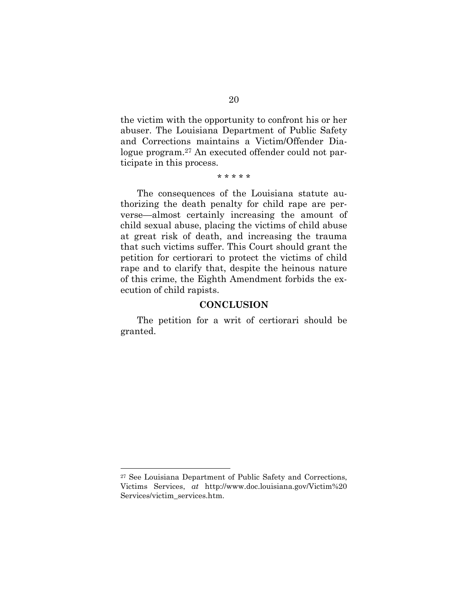the victim with the opportunity to confront his or her abuser. The Louisiana Department of Public Safety and Corrections maintains a Victim/Offender Dialogue program.<sup>27</sup> An executed offender could not participate in this process.

\* \* \* \* \*

The consequences of the Louisiana statute authorizing the death penalty for child rape are perverse—almost certainly increasing the amount of child sexual abuse, placing the victims of child abuse at great risk of death, and increasing the trauma that such victims suffer. This Court should grant the petition for certiorari to protect the victims of child rape and to clarify that, despite the heinous nature of this crime, the Eighth Amendment forbids the execution of child rapists.

#### **CONCLUSION**

The petition for a writ of certiorari should be granted.

<sup>27</sup> See Louisiana Department of Public Safety and Corrections, Victims Services, *at* http://www.doc.louisiana.gov/Victim%20 Services/victim\_services.htm.